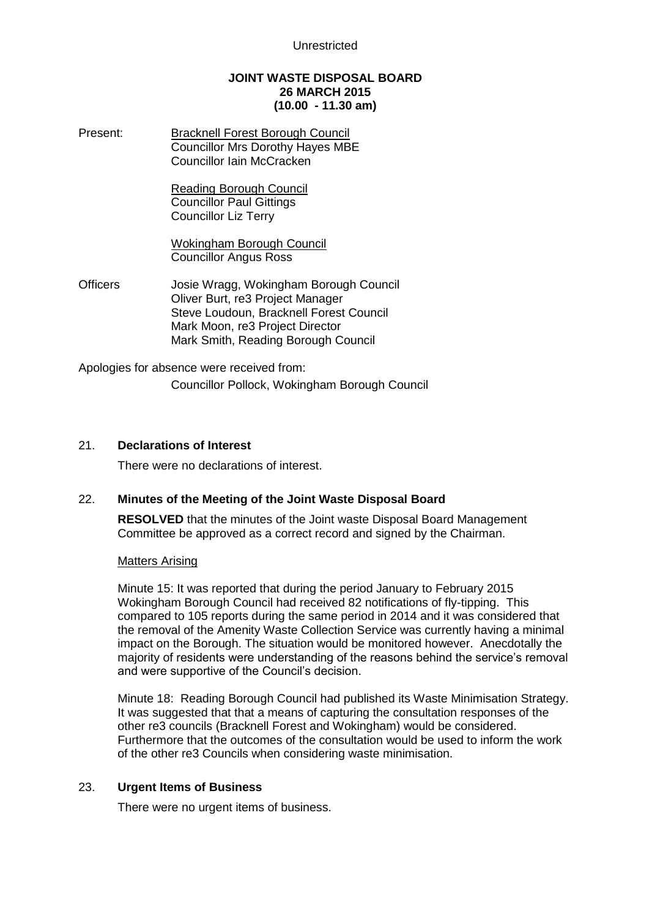## **JOINT WASTE DISPOSAL BOARD 26 MARCH 2015 (10.00 - 11.30 am)**

Present: Bracknell Forest Borough Council Councillor Mrs Dorothy Hayes MBE Councillor Iain McCracken

> Reading Borough Council Councillor Paul Gittings Councillor Liz Terry

Wokingham Borough Council Councillor Angus Ross

Officers Josie Wragg, Wokingham Borough Council Oliver Burt, re3 Project Manager Steve Loudoun, Bracknell Forest Council Mark Moon, re3 Project Director Mark Smith, Reading Borough Council

Apologies for absence were received from:

Councillor Pollock, Wokingham Borough Council

## 21. **Declarations of Interest**

There were no declarations of interest.

## 22. **Minutes of the Meeting of the Joint Waste Disposal Board**

**RESOLVED** that the minutes of the Joint waste Disposal Board Management Committee be approved as a correct record and signed by the Chairman.

#### Matters Arising

Minute 15: It was reported that during the period January to February 2015 Wokingham Borough Council had received 82 notifications of fly-tipping. This compared to 105 reports during the same period in 2014 and it was considered that the removal of the Amenity Waste Collection Service was currently having a minimal impact on the Borough. The situation would be monitored however. Anecdotally the majority of residents were understanding of the reasons behind the service's removal and were supportive of the Council's decision.

Minute 18: Reading Borough Council had published its Waste Minimisation Strategy. It was suggested that that a means of capturing the consultation responses of the other re3 councils (Bracknell Forest and Wokingham) would be considered. Furthermore that the outcomes of the consultation would be used to inform the work of the other re3 Councils when considering waste minimisation.

## 23. **Urgent Items of Business**

There were no urgent items of business.